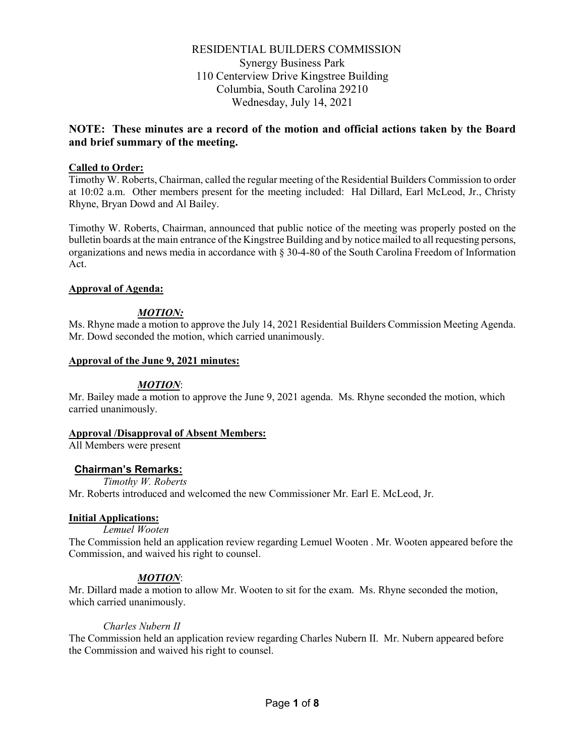RESIDENTIAL BUILDERS COMMISSION Synergy Business Park 110 Centerview Drive Kingstree Building Columbia, South Carolina 29210 Wednesday, July 14, 2021

# **NOTE: These minutes are a record of the motion and official actions taken by the Board and brief summary of the meeting.**

### **Called to Order:**

Timothy W. Roberts, Chairman, called the regular meeting of the Residential Builders Commission to order at 10:02 a.m. Other members present for the meeting included: Hal Dillard, Earl McLeod, Jr., Christy Rhyne, Bryan Dowd and Al Bailey.

Timothy W. Roberts, Chairman, announced that public notice of the meeting was properly posted on the bulletin boards at the main entrance of the Kingstree Building and by notice mailed to all requesting persons, organizations and news media in accordance with § 30-4-80 of the South Carolina Freedom of Information Act.

### **Approval of Agenda:**

## *MOTION:*

Ms. Rhyne made a motion to approve the July 14, 2021 Residential Builders Commission Meeting Agenda. Mr. Dowd seconded the motion, which carried unanimously.

### **Approval of the June 9, 2021 minutes:**

## *MOTION*:

Mr. Bailey made a motion to approve the June 9, 2021 agenda. Ms. Rhyne seconded the motion, which carried unanimously.

### **Approval /Disapproval of Absent Members:**

All Members were present

## **Chairman's Remarks:**

*Timothy W. Roberts*

Mr. Roberts introduced and welcomed the new Commissioner Mr. Earl E. McLeod, Jr.

### **Initial Applications:**

*Lemuel Wooten*

The Commission held an application review regarding Lemuel Wooten . Mr. Wooten appeared before the Commission, and waived his right to counsel.

## *MOTION*:

Mr. Dillard made a motion to allow Mr. Wooten to sit for the exam. Ms. Rhyne seconded the motion, which carried unanimously.

### *Charles Nubern II*

The Commission held an application review regarding Charles Nubern II. Mr. Nubern appeared before the Commission and waived his right to counsel.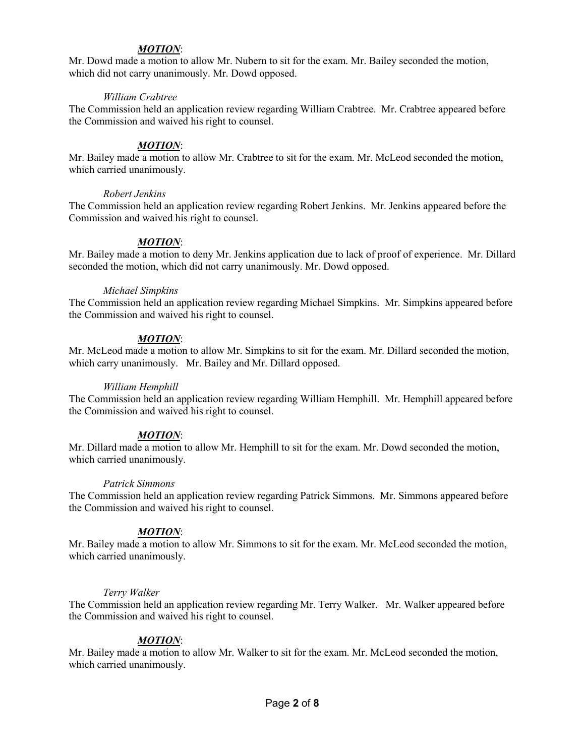### *MOTION*:

Mr. Dowd made a motion to allow Mr. Nubern to sit for the exam. Mr. Bailey seconded the motion, which did not carry unanimously. Mr. Dowd opposed.

### *William Crabtree*

The Commission held an application review regarding William Crabtree. Mr. Crabtree appeared before the Commission and waived his right to counsel.

### *MOTION*:

Mr. Bailey made a motion to allow Mr. Crabtree to sit for the exam. Mr. McLeod seconded the motion, which carried unanimously.

### *Robert Jenkins*

The Commission held an application review regarding Robert Jenkins. Mr. Jenkins appeared before the Commission and waived his right to counsel.

## *MOTION*:

Mr. Bailey made a motion to deny Mr. Jenkins application due to lack of proof of experience. Mr. Dillard seconded the motion, which did not carry unanimously. Mr. Dowd opposed.

#### *Michael Simpkins*

The Commission held an application review regarding Michael Simpkins. Mr. Simpkins appeared before the Commission and waived his right to counsel.

## *MOTION*:

Mr. McLeod made a motion to allow Mr. Simpkins to sit for the exam. Mr. Dillard seconded the motion, which carry unanimously. Mr. Bailey and Mr. Dillard opposed.

### *William Hemphill*

The Commission held an application review regarding William Hemphill. Mr. Hemphill appeared before the Commission and waived his right to counsel.

### *MOTION*:

Mr. Dillard made a motion to allow Mr. Hemphill to sit for the exam. Mr. Dowd seconded the motion, which carried unanimously.

### *Patrick Simmons*

The Commission held an application review regarding Patrick Simmons. Mr. Simmons appeared before the Commission and waived his right to counsel.

### *MOTION*:

Mr. Bailey made a motion to allow Mr. Simmons to sit for the exam. Mr. McLeod seconded the motion, which carried unanimously.

### *Terry Walker*

The Commission held an application review regarding Mr. Terry Walker. Mr. Walker appeared before the Commission and waived his right to counsel.

### *MOTION*:

Mr. Bailey made a motion to allow Mr. Walker to sit for the exam. Mr. McLeod seconded the motion, which carried unanimously.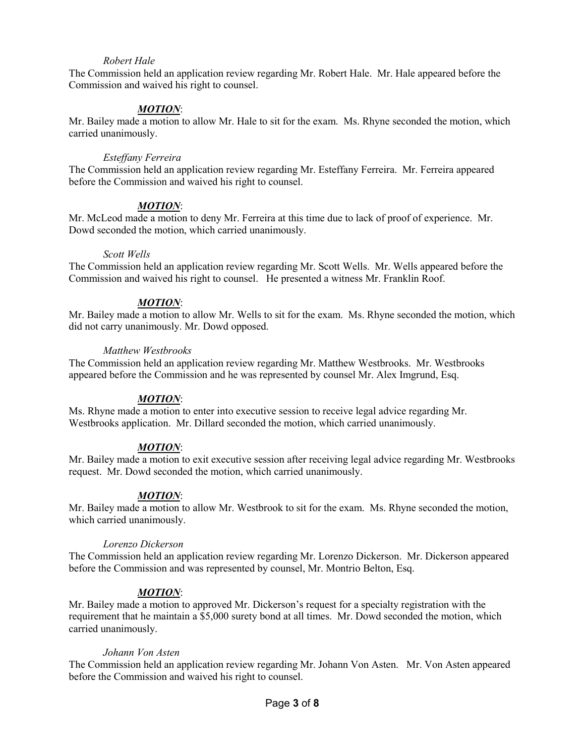## *Robert Hale*

The Commission held an application review regarding Mr. Robert Hale. Mr. Hale appeared before the Commission and waived his right to counsel.

### *MOTION*:

Mr. Bailey made a motion to allow Mr. Hale to sit for the exam. Ms. Rhyne seconded the motion, which carried unanimously.

#### *Esteffany Ferreira*

The Commission held an application review regarding Mr. Esteffany Ferreira. Mr. Ferreira appeared before the Commission and waived his right to counsel.

#### *MOTION*:

Mr. McLeod made a motion to deny Mr. Ferreira at this time due to lack of proof of experience. Mr. Dowd seconded the motion, which carried unanimously.

#### *Scott Wells*

The Commission held an application review regarding Mr. Scott Wells. Mr. Wells appeared before the Commission and waived his right to counsel. He presented a witness Mr. Franklin Roof.

#### *MOTION*:

Mr. Bailey made a motion to allow Mr. Wells to sit for the exam. Ms. Rhyne seconded the motion, which did not carry unanimously. Mr. Dowd opposed.

### *Matthew Westbrooks*

The Commission held an application review regarding Mr. Matthew Westbrooks. Mr. Westbrooks appeared before the Commission and he was represented by counsel Mr. Alex Imgrund, Esq.

## *MOTION*:

Ms. Rhyne made a motion to enter into executive session to receive legal advice regarding Mr. Westbrooks application. Mr. Dillard seconded the motion, which carried unanimously.

### *MOTION*:

Mr. Bailey made a motion to exit executive session after receiving legal advice regarding Mr. Westbrooks request. Mr. Dowd seconded the motion, which carried unanimously.

### *MOTION*:

Mr. Bailey made a motion to allow Mr. Westbrook to sit for the exam. Ms. Rhyne seconded the motion, which carried unanimously.

#### *Lorenzo Dickerson*

The Commission held an application review regarding Mr. Lorenzo Dickerson. Mr. Dickerson appeared before the Commission and was represented by counsel, Mr. Montrio Belton, Esq.

### *MOTION*:

Mr. Bailey made a motion to approved Mr. Dickerson's request for a specialty registration with the requirement that he maintain a \$5,000 surety bond at all times. Mr. Dowd seconded the motion, which carried unanimously.

#### *Johann Von Asten*

The Commission held an application review regarding Mr. Johann Von Asten. Mr. Von Asten appeared before the Commission and waived his right to counsel.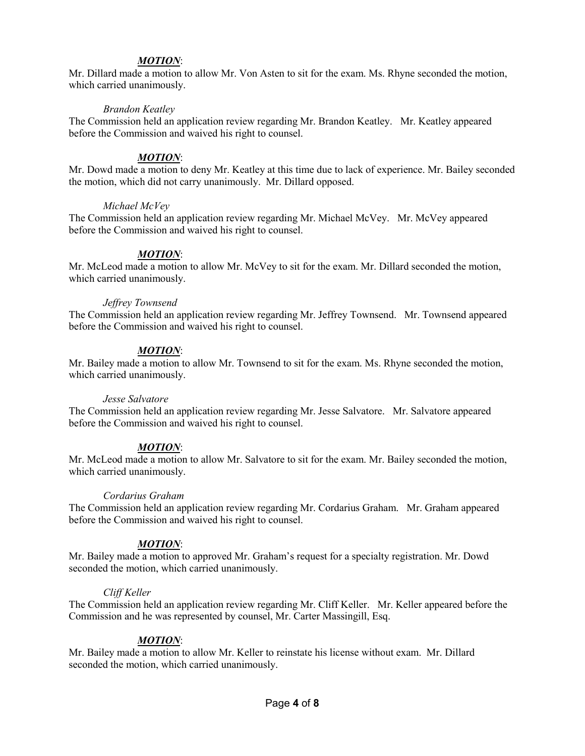## *MOTION*:

Mr. Dillard made a motion to allow Mr. Von Asten to sit for the exam. Ms. Rhyne seconded the motion, which carried unanimously.

### *Brandon Keatley*

The Commission held an application review regarding Mr. Brandon Keatley. Mr. Keatley appeared before the Commission and waived his right to counsel.

## *MOTION*:

Mr. Dowd made a motion to deny Mr. Keatley at this time due to lack of experience. Mr. Bailey seconded the motion, which did not carry unanimously. Mr. Dillard opposed.

### *Michael McVey*

The Commission held an application review regarding Mr. Michael McVey. Mr. McVey appeared before the Commission and waived his right to counsel.

## *MOTION*:

Mr. McLeod made a motion to allow Mr. McVey to sit for the exam. Mr. Dillard seconded the motion, which carried unanimously.

### *Jeffrey Townsend*

The Commission held an application review regarding Mr. Jeffrey Townsend. Mr. Townsend appeared before the Commission and waived his right to counsel.

## *MOTION*:

Mr. Bailey made a motion to allow Mr. Townsend to sit for the exam. Ms. Rhyne seconded the motion, which carried unanimously.

### *Jesse Salvatore*

The Commission held an application review regarding Mr. Jesse Salvatore. Mr. Salvatore appeared before the Commission and waived his right to counsel.

### *MOTION*:

Mr. McLeod made a motion to allow Mr. Salvatore to sit for the exam. Mr. Bailey seconded the motion, which carried unanimously.

### *Cordarius Graham*

The Commission held an application review regarding Mr. Cordarius Graham. Mr. Graham appeared before the Commission and waived his right to counsel.

### *MOTION*:

Mr. Bailey made a motion to approved Mr. Graham's request for a specialty registration. Mr. Dowd seconded the motion, which carried unanimously.

### *Cliff Keller*

The Commission held an application review regarding Mr. Cliff Keller. Mr. Keller appeared before the Commission and he was represented by counsel, Mr. Carter Massingill, Esq.

## *MOTION*:

Mr. Bailey made a motion to allow Mr. Keller to reinstate his license without exam. Mr. Dillard seconded the motion, which carried unanimously.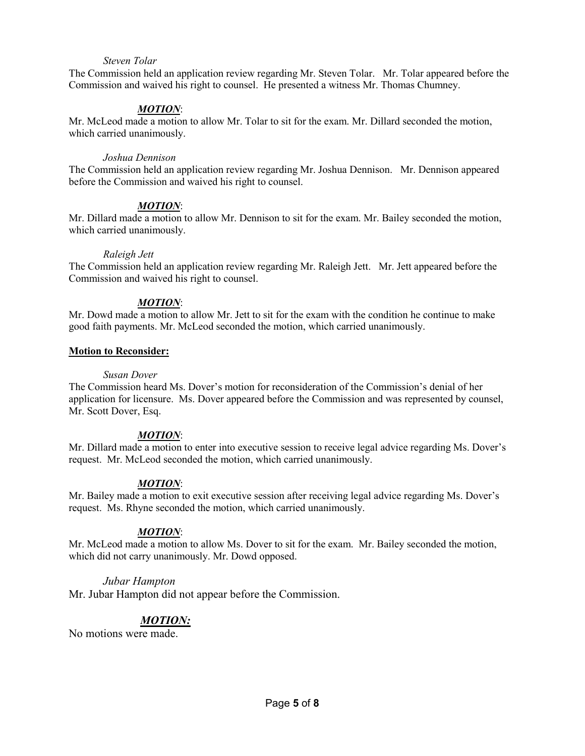### *Steven Tolar*

The Commission held an application review regarding Mr. Steven Tolar. Mr. Tolar appeared before the Commission and waived his right to counsel. He presented a witness Mr. Thomas Chumney.

### *MOTION*:

Mr. McLeod made a motion to allow Mr. Tolar to sit for the exam. Mr. Dillard seconded the motion, which carried unanimously.

### *Joshua Dennison*

The Commission held an application review regarding Mr. Joshua Dennison. Mr. Dennison appeared before the Commission and waived his right to counsel.

### *MOTION*:

Mr. Dillard made a motion to allow Mr. Dennison to sit for the exam. Mr. Bailey seconded the motion, which carried unanimously.

### *Raleigh Jett*

The Commission held an application review regarding Mr. Raleigh Jett. Mr. Jett appeared before the Commission and waived his right to counsel.

### *MOTION*:

Mr. Dowd made a motion to allow Mr. Jett to sit for the exam with the condition he continue to make good faith payments. Mr. McLeod seconded the motion, which carried unanimously.

## **Motion to Reconsider:**

### *Susan Dover*

The Commission heard Ms. Dover's motion for reconsideration of the Commission's denial of her application for licensure. Ms. Dover appeared before the Commission and was represented by counsel, Mr. Scott Dover, Esq.

### *MOTION*:

Mr. Dillard made a motion to enter into executive session to receive legal advice regarding Ms. Dover's request. Mr. McLeod seconded the motion, which carried unanimously.

## *MOTION*:

Mr. Bailey made a motion to exit executive session after receiving legal advice regarding Ms. Dover's request. Ms. Rhyne seconded the motion, which carried unanimously.

## *MOTION*:

Mr. McLeod made a motion to allow Ms. Dover to sit for the exam. Mr. Bailey seconded the motion, which did not carry unanimously. Mr. Dowd opposed.

### *Jubar Hampton*

Mr. Jubar Hampton did not appear before the Commission.

# *MOTION:*

No motions were made.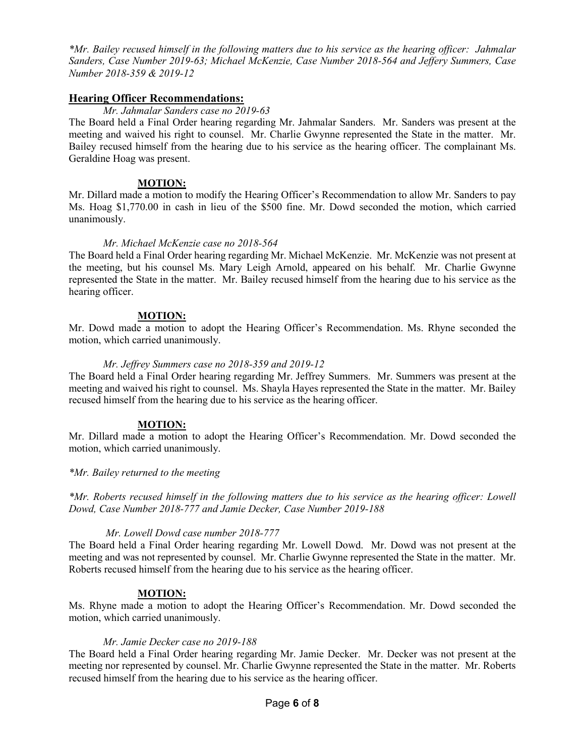*\*Mr. Bailey recused himself in the following matters due to his service as the hearing officer: Jahmalar Sanders, Case Number 2019-63; Michael McKenzie, Case Number 2018-564 and Jeffery Summers, Case Number 2018-359 & 2019-12*

## **Hearing Officer Recommendations:**

### *Mr. Jahmalar Sanders case no 2019-63*

The Board held a Final Order hearing regarding Mr. Jahmalar Sanders. Mr. Sanders was present at the meeting and waived his right to counsel. Mr. Charlie Gwynne represented the State in the matter. Mr. Bailey recused himself from the hearing due to his service as the hearing officer. The complainant Ms. Geraldine Hoag was present.

## **MOTION:**

Mr. Dillard made a motion to modify the Hearing Officer's Recommendation to allow Mr. Sanders to pay Ms. Hoag \$1,770.00 in cash in lieu of the \$500 fine. Mr. Dowd seconded the motion, which carried unanimously.

### *Mr. Michael McKenzie case no 2018-564*

The Board held a Final Order hearing regarding Mr. Michael McKenzie. Mr. McKenzie was not present at the meeting, but his counsel Ms. Mary Leigh Arnold, appeared on his behalf. Mr. Charlie Gwynne represented the State in the matter. Mr. Bailey recused himself from the hearing due to his service as the hearing officer.

## **MOTION:**

Mr. Dowd made a motion to adopt the Hearing Officer's Recommendation. Ms. Rhyne seconded the motion, which carried unanimously.

## *Mr. Jeffrey Summers case no 2018-359 and 2019-12*

The Board held a Final Order hearing regarding Mr. Jeffrey Summers. Mr. Summers was present at the meeting and waived his right to counsel. Ms. Shayla Hayes represented the State in the matter. Mr. Bailey recused himself from the hearing due to his service as the hearing officer.

## **MOTION:**

Mr. Dillard made a motion to adopt the Hearing Officer's Recommendation. Mr. Dowd seconded the motion, which carried unanimously.

### *\*Mr. Bailey returned to the meeting*

*\*Mr. Roberts recused himself in the following matters due to his service as the hearing officer: Lowell Dowd, Case Number 2018-777 and Jamie Decker, Case Number 2019-188*

### *Mr. Lowell Dowd case number 2018-777*

The Board held a Final Order hearing regarding Mr. Lowell Dowd. Mr. Dowd was not present at the meeting and was not represented by counsel. Mr. Charlie Gwynne represented the State in the matter. Mr. Roberts recused himself from the hearing due to his service as the hearing officer.

### **MOTION:**

Ms. Rhyne made a motion to adopt the Hearing Officer's Recommendation. Mr. Dowd seconded the motion, which carried unanimously.

### *Mr. Jamie Decker case no 2019-188*

The Board held a Final Order hearing regarding Mr. Jamie Decker. Mr. Decker was not present at the meeting nor represented by counsel. Mr. Charlie Gwynne represented the State in the matter. Mr. Roberts recused himself from the hearing due to his service as the hearing officer.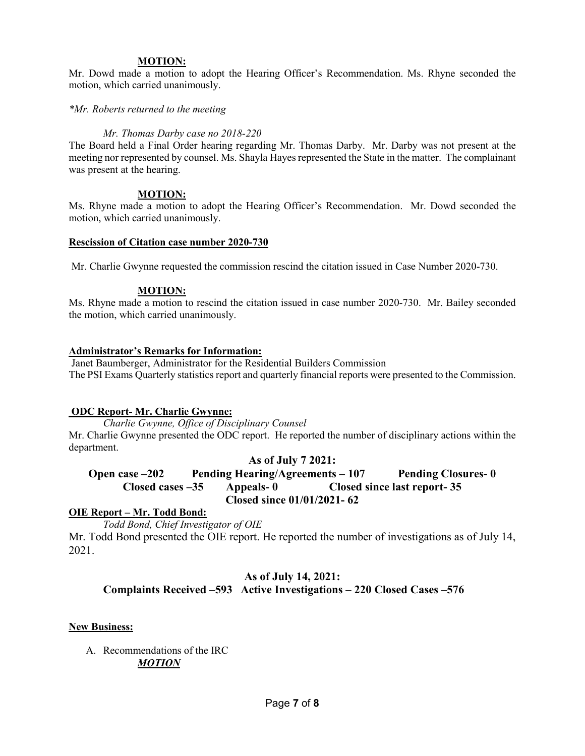#### **MOTION:**

Mr. Dowd made a motion to adopt the Hearing Officer's Recommendation. Ms. Rhyne seconded the motion, which carried unanimously.

*\*Mr. Roberts returned to the meeting* 

### *Mr. Thomas Darby case no 2018-220*

The Board held a Final Order hearing regarding Mr. Thomas Darby. Mr. Darby was not present at the meeting nor represented by counsel. Ms. Shayla Hayes represented the State in the matter. The complainant was present at the hearing.

## **MOTION:**

Ms. Rhyne made a motion to adopt the Hearing Officer's Recommendation. Mr. Dowd seconded the motion, which carried unanimously.

#### **Rescission of Citation case number 2020-730**

Mr. Charlie Gwynne requested the commission rescind the citation issued in Case Number 2020-730.

### **MOTION:**

Ms. Rhyne made a motion to rescind the citation issued in case number 2020-730. Mr. Bailey seconded the motion, which carried unanimously.

### **Administrator's Remarks for Information:**

Janet Baumberger, Administrator for the Residential Builders Commission The PSI Exams Quarterly statistics report and quarterly financial reports were presented to the Commission.

### **ODC Report- Mr. Charlie Gwynne:**

*Charlie Gwynne, Office of Disciplinary Counsel* Mr. Charlie Gwynne presented the ODC report. He reported the number of disciplinary actions within the department.

### **As of July 7 2021:**

## **Open case –202 Pending Hearing/Agreements – 107 Pending Closures- 0 Closed cases –35 Appeals- 0 Closed since last report- 35 Closed since 01/01/2021- 62**

### **OIE Report – Mr. Todd Bond:**

*Todd Bond, Chief Investigator of OIE*

Mr. Todd Bond presented the OIE report. He reported the number of investigations as of July 14, 2021.

## **As of July 14, 2021: Complaints Received –593 Active Investigations – 220 Closed Cases –576**

### **New Business:**

A. Recommendations of the IRC *MOTION*